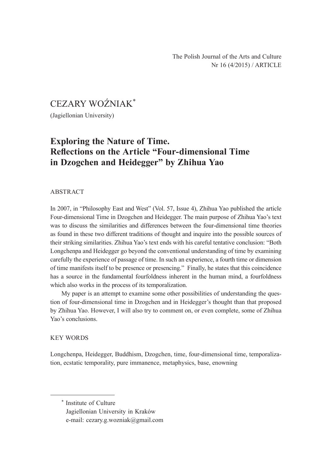# CEZARY WOŹNIAK\*

(Jagiellonian University)

## **Exploring the Nature of Time. Reflections on the Article "Four-dimensional Time in Dzogchen and Heidegger" by Zhihua Yao**

### ABSTRACT

In 2007, in "Philosophy East and West" (Vol. 57, Issue 4), Zhihua Yao published the article Four-dimensional Time in Dzogchen and Heidegger. The main purpose of Zhihua Yao's text was to discuss the similarities and differences between the four-dimensional time theories as found in these two different traditions of thought and inquire into the possible sources of their striking similarities. Zhihua Yao's text ends with his careful tentative conclusion: "Both Longchenpa and Heidegger go beyond the conventional understanding of time by examining carefully the experience of passage of time. In such an experience, a fourth time or dimension of time manifests itself to be presence or presencing." Finally, he states that this coincidence has a source in the fundamental fourfoldness inherent in the human mind, a fourfoldness which also works in the process of its temporalization.

My paper is an attempt to examine some other possibilities of understanding the question of four-dimensional time in Dzogchen and in Heidegger's thought than that proposed by Zhihua Yao. However, I will also try to comment on, or even complete, some of Zhihua Yao's conclusions.

### KEY WORDS

Longchenpa, Heidegger, Buddhism, Dzogchen, time, four-dimensional time, temporalization, ecstatic temporality, pure immanence, metaphysics, base, enowning

\* Institute of Culture Jagiellonian University in Kraków e-mail: cezary.g.wozniak@gmail.com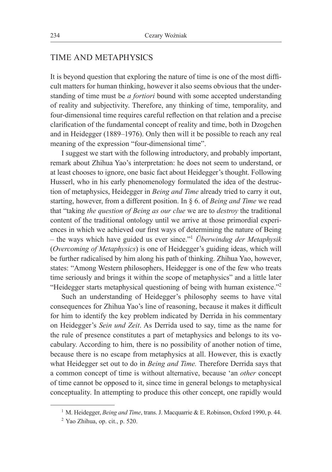## TIME AND METAPHYSICS

It is beyond question that exploring the nature of time is one of the most difficult matters for human thinking, however it also seems obvious that the understanding of time must be *a fortiori* bound with some accepted understanding of reality and subjectivity. Therefore, any thinking of time, temporality, and four-dimensional time requires careful reflection on that relation and a precise clarification of the fundamental concept of reality and time, both in Dzogchen and in Heidegger (1889–1976). Only then will it be possible to reach any real meaning of the expression "four-dimensional time".

I suggest we start with the following introductory, and probably important, remark about Zhihua Yao's interpretation: he does not seem to understand, or at least chooses to ignore, one basic fact about Heidegger's thought. Following Husserl, who in his early phenomenology formulated the idea of the destruction of metaphysics, Heidegger in *Being and Time* already tried to carry it out, starting, however, from a different position. In § 6. of *Being and Time* we read that "taking *the question of Being as our clue* we are to *destroy* the traditional content of the traditional ontology until we arrive at those primordial experiences in which we achieved our first ways of determining the nature of Being – the ways which have guided us ever since."1 *Überwindug der Metaphysik* (*Overcoming of Metaphysics*) is one of Heidegger's guiding ideas, which will be further radicalised by him along his path of thinking. Zhihua Yao, however, states: "Among Western philosophers, Heidegger is one of the few who treats time seriously and brings it within the scope of metaphysics" and a little later "Heidegger starts metaphysical questioning of being with human existence."2

Such an understanding of Heidegger's philosophy seems to have vital consequences for Zhihua Yao's line of reasoning, because it makes it difficult for him to identify the key problem indicated by Derrida in his commentary on Heidegger's *Sein und Zeit*. As Derrida used to say, time as the name for the rule of presence constitutes a part of metaphysics and belongs to its vocabulary. According to him, there is no possibility of another notion of time, because there is no escape from metaphysics at all. However, this is exactly what Heidegger set out to do in *Being and Time.* Therefore Derrida says that a common concept of time is without alternative, because 'an *other* concept of time cannot be opposed to it, since time in general belongs to metaphysical conceptuality. In attempting to produce this other concept, one rapidly would

<sup>&</sup>lt;sup>1</sup> M. Heidegger, *Being and Time*, trans. J. Macquarrie & E. Robinson, Oxford 1990, p. 44.

<sup>2</sup> Yao Zhihua, op. cit., p. 520.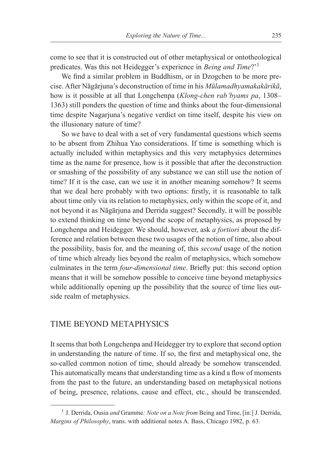come to see that it is constructed out of other metaphysical or ontotheological predicates. Was this not Heidegger's experience in *Being and Time*?'3

We find a similar problem in Buddhism, or in Dzogchen to be more precise. After Nāgārjuna's deconstruction of time in his *Mūlamadhyamakakārikā*, how is it possible at all that Longchenpa (*Klong-chen rab'byams pa*, 1308– 1363) still ponders the question of time and thinks about the four-dimensional time despite Nagarjuna's negative verdict on time itself, despite his view on the illusionary nature of time?

So we have to deal with a set of very fundamental questions which seems to be absent from Zhihua Yao considerations. If time is something which is actually included within metaphysics and this very metaphysics determines time as the name for presence, how is it possible that after the deconstruction or smashing of the possibility of any substance we can still use the notion of time? If it is the case, can we use it in another meaning somehow? It seems that we deal here probably with two options: firstly, it is reasonable to talk about time only via its relation to metaphysics, only within the scope of it, and not beyond it as Nāgārjuna and Derrida suggest? Secondly, it will be possible to extend thinking on time beyond the scope of metaphysics, as proposed by Longchenpa and Heidegger. We should, however, ask *a fortiori* about the difference and relation between these two usages of the notion of time, also about the possibility, basis for, and the meaning of, this *second* usage of the notion of time which already lies beyond the realm of metaphysics, which somehow culminates in the term *four-dimensional time*. Briefly put: this second option means that it will be somehow possible to conceive time beyond metaphysics while additionally opening up the possibility that the source of time lies outside realm of metaphysics.

## TIME BEYOND METAPHYSICS

It seems that both Longchenpa and Heidegger try to explore that second option in understanding the nature of time. If so, the first and metaphysical one, the so-called common notion of time, should already be somehow transcended. This automatically means that understanding time as a kind a flow of moments from the past to the future, an understanding based on metaphysical notions of being, presence, relations, cause and effect, etc., should be transcended.

<sup>3</sup> J. Derrida, Ousia *and* Gramme*: Note on a Note from* Being and Time, [in:] J. Derrida, *Margins of Philosophy*, trans. with additional notes A. Bass, Chicago 1982, p. 63.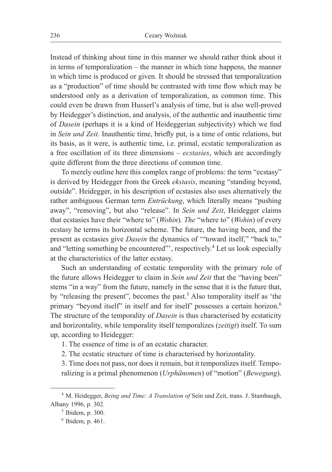Instead of thinking about time in this manner we should rather think about it in terms of temporalization – the manner in which time happens, the manner in which time is produced or given. It should be stressed that temporalization as a "production" of time should be contrasted with time flow which may be understood only as a derivation of temporalization, as common time. This could even be drawn from Husserl's analysis of time, but is also well-proved by Heidegger's distinction, and analysis, of the authentic and inauthentic time of *Dasein* (perhaps it is a kind of Heideggerian subjectivity) which we find in *Sein und Zeit.* Inauthentic time, briefly put, is a time of ontic relations, but its basis, as it were, is authentic time, i.e. primal, ecstatic temporalization as a free oscillation of its three dimensions – *ecstasies*, which are accordingly quite different from the three directions of common time.

To merely outline here this complex range of problems: the term "ecstasy" is derived by Heidegger from the Greek *ekstasis*, meaning "standing beyond, outside". Heidegger, in his description of ecstasies also uses alternatively the rather ambiguous German term *Entrückung*, which literally means "pushing away", "removing", but also "release". In *Sein und Zeit*, Heidegger claims that ecstasies have their "where to" (*Wohin*)*. The* "where to" (*Wohin*) of every ecstasy he terms its horizontal scheme. The future, the having been, and the present as ecstasies give *Dasein* the dynamics of '"toward itself," "back to," and "letting something be encountered"', respectively.<sup>4</sup> Let us look especially at the characteristics of the latter ecstasy.

Such an understanding of ecstatic temporality with the primary role of the future allows Heidegger to claim in *Sein und Zeit* that the "having been" stems "in a way" from the future, namely in the sense that it is the future that, by "releasing the present", becomes the past.<sup>5</sup> Also temporality itself as 'the primary "beyond itself" in itself and for itself" possesses a certain horizon.<sup>6</sup> The structure of the temporality of *Dasein* is thus characterised by ecstaticity and horizontality, while temporality itself temporalizes (*zeitigt*) itself. To sum up, according to Heidegger:

1. The essence of time is of an ecstatic character.

2. The ecstatic structure of time is characterised by horizontality.

3. Time does not pass, nor does it remain, but it temporalizes itself. Temporalizing is a primal phenomenon (*Urphänomen*) of "motion" (*Bewegung*).

<sup>4</sup> M. Heidegger, *Being and Time: A Translation of* Sein und Zeit, trans. J. Stambaugh, Albany 1996, p. 302.

<sup>5</sup> Ibidem, p. 300.

 $6$  Ibidem, p. 461.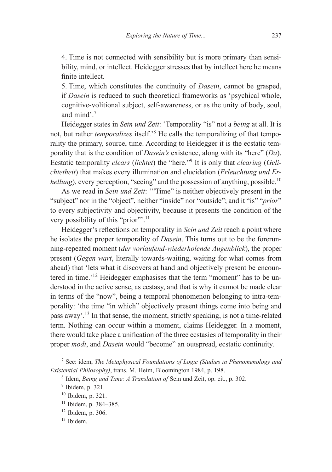4. Time is not connected with sensibility but is more primary than sensibility, mind, or intellect. Heidegger stresses that by intellect here he means finite intellect.

5. Time, which constitutes the continuity of *Dasein*, cannot be grasped, if *Dasein* is reduced to such theoretical frameworks as 'psychical whole, cognitive-volitional subject, self-awareness, or as the unity of body, soul, and mind' $^7$ 

Heidegger states in *Sein und Zeit*: 'Temporality "is" not a *being* at all. It is not, but rather *temporalizes* itself.'8 He calls the temporalizing of that temporality the primary, source, time. According to Heidegger it is the ecstatic temporality that is the condition of *Dasein's* existence, along with its "here" (*Da*). Ecstatic temporality *clears* (*lichtet*) the "here."9 It is only that *clearing* (*Gelichtetheit*) that makes every illumination and elucidation (*Erleuchtung und Erhellung*), every perception, "seeing" and the possession of anything, possible.<sup>10</sup>

As we read in *Sein und Zeit*: '"Time" is neither objectively present in the "subject" nor in the "object", neither "inside" nor "outside"; and it "is" "*prior*" to every subjectivity and objectivity, because it presents the condition of the very possibility of this "prior".<sup>11</sup>

Heidegger's reflections on temporality in *Sein und Zeit* reach a point where he isolates the proper temporality of *Dasein*. This turns out to be the forerunning-repeated moment (*der vorlaufend-wiederholende Augenblick*), the proper present (*Gegen-wart*, literally towards-waiting, waiting for what comes from ahead) that 'lets what it discovers at hand and objectively present be encountered in time.'12 Heidegger emphasises that the term "moment" has to be understood in the active sense, as ecstasy, and that is why it cannot be made clear in terms of the "now", being a temporal phenomenon belonging to intra-temporality: 'the time "in which" objectively present things come into being and pass away'.13 In that sense, the moment, strictly speaking, is not a time-related term. Nothing can occur within a moment, claims Heidegger. In a moment, there would take place a unification of the three ecstasies of temporality in their proper *modi*, and *Dasein* would "become" an outspread, ecstatic continuity.

<sup>7</sup> See: idem, *The Metaphysical Foundations of Logic (Studies in Phenomenology and Existential Philosophy)*, trans. M. Heim, Bloomington 1984, p. 198.

<sup>8</sup> Idem, *Being and Time: A Translation of* Sein und Zeit, op. cit., p. 302.

 $9$  Ibidem, p. 321.

<sup>10</sup> Ibidem, p. 321.

<sup>11</sup> Ibidem, p. 384–385.

<sup>12</sup> Ibidem, p. 306.

<sup>13</sup> Ibidem.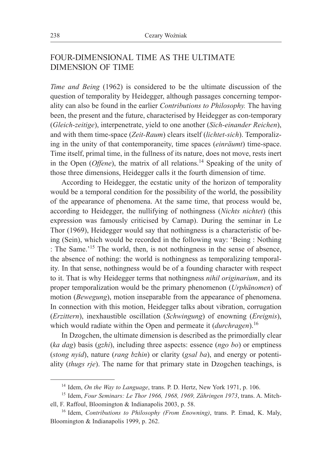## FOUR-DIMENSIONAL TIME AS THE ULTIMATE DIMENSION OF TIME

*Time and Being* (1962) is considered to be the ultimate discussion of the question of temporality by Heidegger, although passages concerning temporality can also be found in the earlier *Contributions to Philosophy.* The having been, the present and the future, characterised by Heidegger as con-temporary (*Gleich-zeitige*), interpenetrate, yield to one another (*Sich-einander Reichen*), and with them time-space (*Zeit-Raum*) clears itself (*lichtet-sich*). Temporalizing in the unity of that contemporaneity, time spaces (*einräumt*) time-space. Time itself, primal time, in the fullness of its nature, does not move, rests inert in the Open (*Offene*), the matrix of all relations.<sup>14</sup> Speaking of the unity of those three dimensions, Heidegger calls it the fourth dimension of time.

According to Heidegger, the ecstatic unity of the horizon of temporality would be a temporal condition for the possibility of the world, the possibility of the appearance of phenomena. At the same time, that process would be, according to Heidegger, the nullifying of nothingness (*Nichts nichtet*) (this expression was famously criticised by Carnap). During the seminar in Le Thor (1969), Heidegger would say that nothingness is a characteristic of being (Sein), which would be recorded in the following way: 'Being : Nothing : The Same.'15 The world, then, is not nothingness in the sense of absence, the absence of nothing: the world is nothingness as temporalizing temporality. In that sense, nothingness would be of a founding character with respect to it. That is why Heidegger terms that nothingness *nihil originarium*, and its proper temporalization would be the primary phenomenon (*Urphänomen*) of motion (*Bewegung*), motion inseparable from the appearance of phenomena. In connection with this motion, Heidegger talks about vibration, corrugation (*Erzittern*), inexhaustible oscillation (*Schwingung*) of enowning (*Ereignis*), which would radiate within the Open and permeate it (*durchragen*).<sup>16</sup>

In Dzogchen, the ultimate dimension is described as the primordially clear (*ka dag*) basis (*gzhi*), including three aspects: essence (*ngo bo*) or emptiness (*stong nyid*), nature (*rang bzhin*) or clarity (*gsal ba*), and energy or potentiality (*thugs rje*). The name for that primary state in Dzogchen teachings, is

<sup>14</sup> Idem, *On the Way to Language*, trans. P. D. Hertz, New York 1971, p. 106.

<sup>15</sup> Idem, *Four Seminars: Le Thor 1966, 1968, 1969, Zähringen 1973*, trans. A. Mitchell, F. Raffoul, Bloomington & Indianapolis 2003, p. 58.

<sup>16</sup> Idem, *Contributions to Philosophy (From Enowning)*, trans. P. Emad, K. Maly, Bloomington & Indianapolis 1999, p. 262.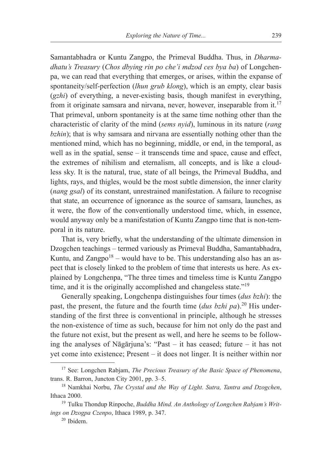Samantabhadra or Kuntu Zangpo, the Primeval Buddha. Thus, in *Dharmadhatu's Treasury* (*Chos dbying rin po che'i mdzod ces bya ba*) of Longchenpa, we can read that everything that emerges, or arises, within the expanse of spontaneity/self-perfection (*lhun grub klong*), which is an empty, clear basis (*gzhi*) of everything, a never-existing basis, though manifest in everything, from it originate samsara and nirvana, never, however, inseparable from it.<sup>17</sup> That primeval, unborn spontaneity is at the same time nothing other than the characteristic of clarity of the mind (*sems nyid*), luminous in its nature (*rang bzhin*); that is why samsara and nirvana are essentially nothing other than the mentioned mind, which has no beginning, middle, or end, in the temporal, as well as in the spatial, sense – it transcends time and space, cause and effect, the extremes of nihilism and eternalism, all concepts, and is like a cloudless sky. It is the natural, true, state of all beings, the Primeval Buddha, and lights, rays, and thigles, would be the most subtle dimension, the inner clarity (*nang gsal*) of its constant, unrestrained manifestation. A failure to recognise that state, an occurrence of ignorance as the source of samsara, launches, as it were, the flow of the conventionally understood time, which, in essence, would anyway only be a manifestation of Kuntu Zangpo time that is non-temporal in its nature.

That is, very briefly, what the understanding of the ultimate dimension in Dzogchen teachings – termed variously as Primeval Buddha, Samantabhadra, Kuntu, and  $Zangpo<sup>18</sup>$  – would have to be. This understanding also has an aspect that is closely linked to the problem of time that interests us here. As explained by Longchenpa, "The three times and timeless time is Kuntu Zangpo time, and it is the originally accomplished and changeless state."<sup>19</sup>

Generally speaking, Longchenpa distinguishes four times (*dus bzhi*): the past, the present, the future and the fourth time (*dus bzhi pa*).<sup>20</sup> His understanding of the first three is conventional in principle, although he stresses the non-existence of time as such, because for him not only do the past and the future not exist, but the present as well, and here he seems to be following the analyses of Nāgārjuna's: "Past – it has ceased; future – it has not yet come into existence; Present – it does not linger. It is neither within nor

<sup>17</sup> See: Longchen Rabjam, *The Precious Treasury of the Basic Space of Phenomena*, trans. R. Barron, Juncton City 2001, pp. 3–5.

<sup>18</sup> Namkhai Norbu, *The Crystal and the Way of Light. Sutra, Tantra and Dzogchen*, Ithaca 2000.

<sup>19</sup> Tulku Thondup Rinpoche, *Buddha Mind. An Anthology of Longchen Rabjam's Writings on Dzogpa Czenpo*, Ithaca 1989, p. 347.

<sup>20</sup> Ibidem.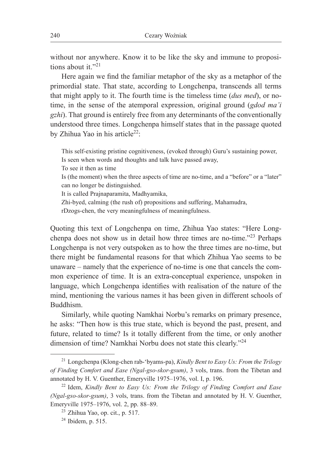without nor anywhere. Know it to be like the sky and immune to propositions about it "21

Here again we find the familiar metaphor of the sky as a metaphor of the primordial state. That state, according to Longchenpa, transcends all terms that might apply to it. The fourth time is the timeless time (*dus med*), or notime, in the sense of the atemporal expression, original ground (*gdod ma'i gzhi*). That ground is entirely free from any determinants of the conventionally understood three times. Longchenpa himself states that in the passage quoted by Zhihua Yao in his article<sup>22</sup>:

This self-existing pristine cognitiveness, (evoked through) Guru's sustaining power, Is seen when words and thoughts and talk have passed away, To see it then as time Is (the moment) when the three aspects of time are no-time, and a "before" or a "later" can no longer be distinguished. It is called Prajnaparamita, Madhyamika, Zhi-byed, calming (the rush of) propositions and suffering, Mahamudra, rDzogs-chen, the very meaningfulness of meaningfulness.

Quoting this text of Longchenpa on time, Zhihua Yao states: "Here Longchenpa does not show us in detail how three times are no-time."23 Perhaps Longchenpa is not very outspoken as to how the three times are no-time, but there might be fundamental reasons for that which Zhihua Yao seems to be unaware – namely that the experience of no-time is one that cancels the common experience of time. It is an extra-conceptual experience, unspoken in language, which Longchenpa identifies with realisation of the nature of the mind, mentioning the various names it has been given in different schools of Buddhism.

Similarly, while quoting Namkhai Norbu's remarks on primary presence, he asks: "Then how is this true state, which is beyond the past, present, and future, related to time? Is it totally different from the time, or only another dimension of time? Namkhai Norbu does not state this clearly."24

<sup>21</sup> Longchenpa (Klong-chen rab-'byams-pa), *Kindly Bent to Easy Us: From the Trilogy of Finding Comfort and Ease (Ngal-gso-skor-gsum)*, 3 vols, trans. from the Tibetan and

annotated by H. V. Guenther, Emeryville 1975–1976, vol. I, p. 196.<br><sup>22</sup> Idem, *Kindly Bent to Easy Us: From the Trilogy of Finding Comfort and Ease (Ngal-gso-skor-gsum)*, 3 vols, trans. from the Tibetan and annotated by H. V. Guenther, Emeryville 1975–1976, vol. 2, pp. 88–89.

<sup>23</sup> Zhihua Yao, op. cit., p. 517.

<sup>24</sup> Ibidem, p. 515.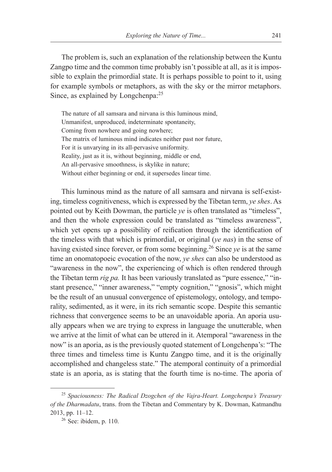The problem is, such an explanation of the relationship between the Kuntu Zangpo time and the common time probably isn't possible at all, as it is impossible to explain the primordial state. It is perhaps possible to point to it, using for example symbols or metaphors, as with the sky or the mirror metaphors. Since, as explained by Longchenpa:<sup>25</sup>

The nature of all samsara and nirvana is this luminous mind, Unmanifest, unproduced, indeterminate spontaneity, Coming from nowhere and going nowhere; The matrix of luminous mind indicates neither past nor future, For it is unvarying in its all-pervasive uniformity. Reality, just as it is, without beginning, middle or end, An all-pervasive smoothness, is skylike in nature; Without either beginning or end, it supersedes linear time.

This luminous mind as the nature of all samsara and nirvana is self-existing, timeless cognitiveness, which is expressed by the Tibetan term, *ye shes*. As pointed out by Keith Dowman, the particle *ye* is often translated as "timeless", and then the whole expression could be translated as "timeless awareness", which yet opens up a possibility of reification through the identification of the timeless with that which is primordial, or original (*ye nas*) in the sense of having existed since forever, or from some beginning.26 Since *ye* is at the same time an onomatopoeic evocation of the now, *ye shes* can also be understood as "awareness in the now", the experiencing of which is often rendered through the Tibetan term *rig pa.* It has been variously translated as "pure essence," "instant presence," "inner awareness," "empty cognition," "gnosis", which might be the result of an unusual convergence of epistemology, ontology, and temporality, sedimented, as it were, in its rich semantic scope. Despite this semantic richness that convergence seems to be an unavoidable aporia. An aporia usually appears when we are trying to express in language the unutterable, when we arrive at the limit of what can be uttered in it. Atemporal "awareness in the now" is an aporia, as is the previously quoted statement of Longchenpa's: "The three times and timeless time is Kuntu Zangpo time, and it is the originally accomplished and changeless state." The atemporal continuity of a primordial state is an aporia, as is stating that the fourth time is no-time. The aporia of

<sup>25</sup> *Spaciousness: The Radical Dzogchen of the Vajra-Heart. Longchenpa's Treasury of the Dharmadatu*, trans. from the Tibetan and Commentary by K. Dowman, Katmandhu 2013, pp. 11–12.

<sup>26</sup> See: ibidem, p. 110.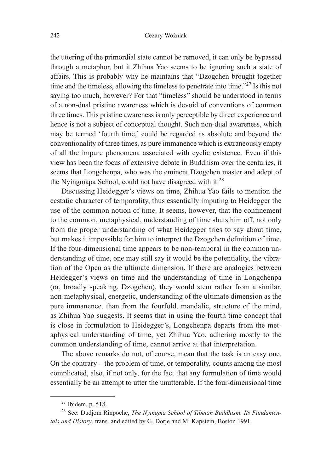the uttering of the primordial state cannot be removed, it can only be bypassed through a metaphor, but it Zhihua Yao seems to be ignoring such a state of affairs. This is probably why he maintains that "Dzogchen brought together time and the timeless, allowing the timeless to penetrate into time."<sup>27</sup> Is this not saying too much, however? For that "timeless" should be understood in terms of a non-dual pristine awareness which is devoid of conventions of common three times. This pristine awareness is only perceptible by direct experience and hence is not a subject of conceptual thought. Such non-dual awareness, which may be termed 'fourth time,' could be regarded as absolute and beyond the conventionality of three times, as pure immanence which is extraneously empty of all the impure phenomena associated with cyclic existence. Even if this view has been the focus of extensive debate in Buddhism over the centuries, it seems that Longchenpa, who was the eminent Dzogchen master and adept of the Nyingmapa School, could not have disagreed with it.28

Discussing Heidegger's views on time, Zhihua Yao fails to mention the ecstatic character of temporality, thus essentially imputing to Heidegger the use of the common notion of time. It seems, however, that the confinement to the common, metaphysical, understanding of time shuts him off, not only from the proper understanding of what Heidegger tries to say about time, but makes it impossible for him to interpret the Dzogchen definition of time. If the four-dimensional time appears to be non-temporal in the common understanding of time, one may still say it would be the potentiality, the vibration of the Open as the ultimate dimension. If there are analogies between Heidegger's views on time and the understanding of time in Longchenpa (or, broadly speaking, Dzogchen), they would stem rather from a similar, non-metaphysical, energetic, understanding of the ultimate dimension as the pure immanence, than from the fourfold, mandalic, structure of the mind, as Zhihua Yao suggests. It seems that in using the fourth time concept that is close in formulation to Heidegger's, Longchenpa departs from the metaphysical understanding of time, yet Zhihua Yao, adhering mostly to the common understanding of time, cannot arrive at that interpretation.

The above remarks do not, of course, mean that the task is an easy one. On the contrary – the problem of time, or temporality, counts among the most complicated, also, if not only, for the fact that any formulation of time would essentially be an attempt to utter the unutterable. If the four-dimensional time

 $27$  Ibidem, p. 518.

<sup>28</sup> See: Dudjom Rinpoche, *The Nyingma School of Tibetan Buddhism. Its Fundamentals and History*, trans. and edited by G. Dorje and M. Kapstein, Boston 1991.